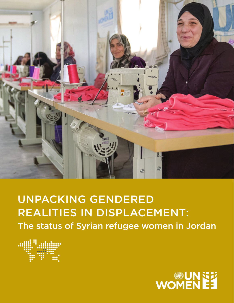

### UNPACKING GENDERED REALITIES IN DISPLACEMENT: The status of Syrian refugee women in Jordan



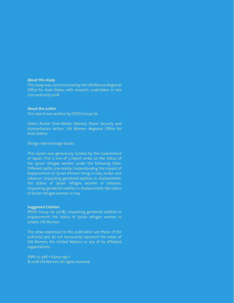#### **About this study**

This study was commissioned by the UN Women Regional Office for Arab States, with research undertaken in late 2017 and early 2018.

#### **About the author**

This report was written by IPSOS Group SA.

Editor: Rachel Dore-Weeks (Advisor, Peace, Security and Humanitarian Action, UN Women Regional Office for Arab States)

Design: dammsavage studio

This report was generously funded by the Government of Japan. This is one of 3 report series on the status of the Syrian refugee women under the following titles: Different paths, one reality: Understanding the impact of displacement on Syrian Women living in Iraq, Jordan and Lebanon; Unpacking gendered realities in displacement: the status of Syrian refugee women in Lebanon; Unpacking gendered realities in displacement: the status of Syrian refugee women in Iraq.

#### **Suggested Citation:**

IPSOS Group SA (2018), Unpacking gendered realities in displacement: the status of Syrian refugee women in Jordan; UN Women.

The views expressed in this publication are those of the author(s) and do not necessarily represent the views of UN Women, the United Nations or any of its affiliated organizations.

ISBN-13: 978-1-63214-149-1 © 2018 UN Women. All rights reserved.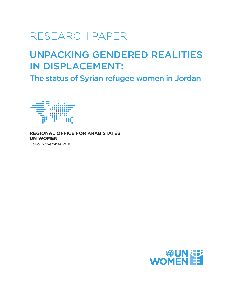### RESEARCH PAPER

### UNPACKING GENDERED REALITIES IN DISPLACEMENT:

The status of Syrian refugee women in Jordan



**REGIONAL OFFICE FOR ARAB STATES UN WOMEN**  Cairo, November 2018

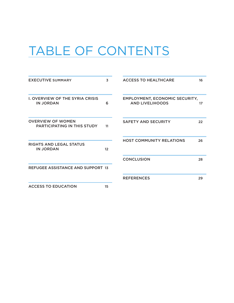## TABLE OF CONTENTS

| <b>EXECUTIVE SUMMARY</b>                                   | 3  | <b>ACCESS TO HEALTHCARE</b><br>16                                     |
|------------------------------------------------------------|----|-----------------------------------------------------------------------|
| <b>I. OVERVIEW OF THE SYRIA CRISIS</b><br><b>IN JORDAN</b> | 6  | <b>EMPLOYMENT, ECONOMIC SECURITY,</b><br><b>AND LIVELIHOODS</b><br>17 |
| <b>OVERVIEW OF WOMEN</b><br>PARTICIPATING IN THIS STUDY    | 11 | <b>SAFETY AND SECURITY</b><br>22                                      |
| RIGHTS AND LEGAL STATUS<br><b>IN JORDAN</b>                | 12 | <b>HOST COMMUNITY RELATIONS</b><br>26                                 |
| <b>REFUGEE ASSISTANCE AND SUPPORT 13</b>                   |    | <b>CONCLUSION</b><br>28                                               |
|                                                            |    | <b>REFERENCES</b><br>29                                               |
| <b>ACCESS TO EDUCATION</b>                                 | 15 |                                                                       |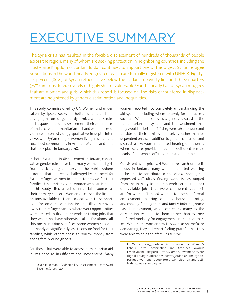### <span id="page-4-0"></span>EXECUTIVE SUMMARY

The Syria crisis has resulted in the forcible displacement of hundreds of thousands of people across the region, many of whom are seeking protection in neighboring countries, including the Hashemite Kingdom of Jordan. Jordan continues to support one of the largest Syrian refugee populations in the world, nearly 700,000 of which are formally registered with UNHCR. Eightysix percent (86%) of Syrian refugees live below the Jordanian poverty line and three quarters (75%) are considered severely or highly shelter vulnerable. 1 For the nearly half of Syrian refugees that are women and girls, which this report is focused on, the risks encountered in displacement are heightened by gender discrimination and inequalities.

This study, commissioned by UN Women and undertaken by Ipsos, seeks to better understand the changing nature of gender dynamics, women's roles and responsibilities in displacement, their experiences of and access to humanitarian aid, and experiences of violence. It consists of 39 qualitative in-depth interviews with Syrian refugee women living in urban and rural host communities in Amman, Mafraq, and Irbid that took place in January 2018.

In both Syria and in displacement in Jordan, conservative gender roles have kept many women and girls from participating equitably in the public sphere, a notion that is directly challenged by the need for Syrian refugee women in Jordan to provide for their families. Unsurprisingly, the women who participated in this study cited a lack of financial resources as their primary concern. Women discussed the limited options available to them to deal with these shortages. For some, these options included illegally moving away from refugee camps, where work opportunities were limited, to find better work, or taking jobs that they would not have otherwise taken. For almost all, this meant making sacrifices: some women chose to eat poorly or significantly less to ensure food for their families, while others chose to borrow money from shops, family, or neighbors.

For those that were able to access humanitarian aid, it was cited as insufficient and inconsistent. Many women reported not completely understanding the aid system, including where to apply for, and access such aid. Women expressed a general distrust in the humanitarian aid system, and the sentiment that they would be better off if they were able to work and provide for their families themselves, rather than be dependent on aid. In addition to general confusion and distrust, a few women reported hearing of incidents where service providers had propositioned female heads of household, offering them additional aid.

Consistent with prior UN Women research on livelihoods in Jordan<sup>2</sup>, many women reported wanting to be able to contribute to household income, but expressed difficulties finding work. Issues ranged from the inability to obtain a work permit to a lack of available jobs that were considered appropriate for women. This led women to accept informal employment: tailoring, cleaning houses, tutoring, and cooking for neighbors and family. Informal, home based employment, was accepted by many as the only option available to them, rather than as their preferred modality for engagement in the labor market. While some women saw this work as shameful or demeaning, they did report feeling grateful that they were able to help their families survive.

<sup>1</sup> UNHCR Jordan, "Vulnerability Assessment Framework Baseline Survey," 40.

<sup>2</sup> UN Women, (2017), Jordanian And Syrian Refugee Women's Labour Force Participation and Attitudes Towards Employment (Report). http://jordan.unwomen.org/en/ digital-library/publications/2017/3/jordanian-and-syrianrefugee-womens-labour-force-participation-and-attitudes-towards-employment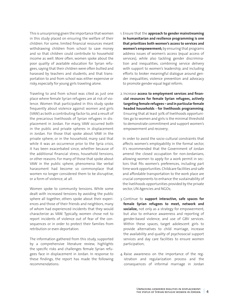This is unsurprising given the importance that women in this study placed on ensuring the welfare of their children. For some, limited financial resources meant withdrawing children from school to save money and so that children could contribute to household income as well. More often, women spoke about the poor quality of available education for Syrian refugees, saying that their children were often bullied and harassed by teachers and students, and that transportation to and from school was either expensive or risky, especially for young girls traveling alone.

Traveling to and from school was cited as just one place where female Syrian refugees are at risk of violence. Women that participated in this study spoke frequently about violence against women and girls (VAW) as both a contributing factor to, and a result of the precarious livelihoods of Syrian refugees in displacement in Jordan. For many, VAW occurred both in the public and private spheres in displacement in Jordan. For those that spoke about VAW in the private sphere, or in the household, many said that while it was an occurrence prior to the Syria crisis, it has been exacerbated since, whether because of the additional financial stress, household tensions, or other reasons. For many of those that spoke about VAW in the public sphere, phenomena like verbal harassment had become so commonplace that women no longer considered them to be disruptive, or a form of violence, at all.

Women spoke to community tensions. While some dealt with increased tensions by avoiding the public sphere all together, others spoke about their experiences and those of their friends and neighbors, many of whom had experienced incidents that they would characterize as VAW. Typically, women chose not to report incidents of violence out of fear of the consequences or in order to protect their families from retribution or even deportation.

The information gathered from this study, supported by a comprehensive literature review, highlights the specific risks and challenges female Syrian refugees face in displacement in Jordan. In response to these findings, the report has made the following recommendations:

- 1. Ensure that the **approach to gender mainstreaming in humanitarian and resilience programming is one that prioritizes both women's access to services and women's empowerment;** by ensuring that programs address issues of women's access (equal access of services), while also tackling gender discrimination and inequalities, combining service delivery with support to women's leadership, and including efforts to broker meaningful dialogue around gender inequalities, violence prevention and advocacy to promote gender equal legal reform;
- 2. Increase **access to employment services and financial resources for female Syrian refugees, actively targeting female refugees – and in particular female headed households - for livelihoods programming***.*  Ensuring that at least 30% of livelihoods opportunities go to women and girls is the minimal threshold to demonstrate commitment and support women's empowerment and recovery;

In order to avoid the socio-cultural constraints that affects women's employability in the formal sector, it's recommended that the Government of Jordan amend the closed occupation for non-Jordanians, allowing women to apply for a work permit in sectors that fits women's preferences, including part time work opportunities. Childcare facilities and safe and affordable transportation to the work place are crucial components to enhance the sustainability of the livelihoods opportunities provided by the private sector, UN Agencies and NGOs;

- 3. Continue to **support interactive, safe spaces for female Syrian refugees to meet, network and socialize,** not only as a strategy for empowerment, but also to enhance awareness and reporting of gender-based violence, and use of GBV services. Within these spaces, target adolescent girls to provide alternatives to child marriage, increase the availability and quality of psychosocial support services and day care facilities to ensure women participation;
- 4. Raise awareness on the importance of the registration and regularization process and the consequences of informal marriage in Jordan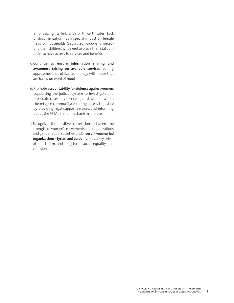emphasizing its link with birth certificates. Lack of documentation has a special impact on female head of households (separated, widows, divorced) and their children, who need to prove their status in order to have access to services and benefits;

- 5. Continue to ensure **information sharing and awareness raising on available services**, pairing approaches that utilize technology with those that are based on word of mouth;
- 6. Promote **accountability for violence against women***,*  supporting the judicial system to investigate and prosecute cases of violence against women within the refugee community; ensuring access to justice by providing legal support services, and informing about the PSEA referral mechanism in place;
- 7. Recognize the positive correlation between the strength of women's movements and organizations and gender-equal societies, and **invest in women led organizations (Syrian and Jordanian)** as a key driver of short-term and long-term social equality and cohesion.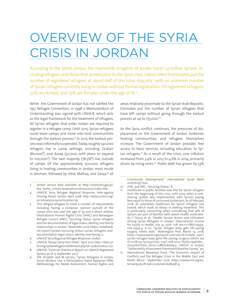## <span id="page-7-0"></span>OVERVIEW OF THE SYRIA CRISIS IN JORDAN

According to the latest census, the Hashemite Kingdom of Jordan hosts 1.4 million Syrians, including refugees and those that arrived prior to the Syria crisis. Latest UNHCR estimates put the number of registered refugees at about half of this total: 659,063,<sup>3</sup> with an unknown number of Syrian refugees currently living in Jordan without formal registration. Of registered refugees, 50% are female, and 25% are females under the age of 18.4

While the Government of Jordan has not ratified the 1951 Refugee Convention, in 1998 a Memorandum of Understanding was signed with UNHCR, which acts as the legal framework for the treatment of refugees. All Syrian refugees that enter Jordan are required to register in a refugee camp. Until 2015, Syrian refugees could leave camps and move into host communities through the bailout process.5 In 2015 the bailout process was informally suspended. Today, roughly 140,000 refugees live in camp settings, including Za'atari  $(80,000^6)$ , and Azraq (50,000, with plans to expand to 100,000<sup>7</sup>). The vast majority (78.5% $\text{8}$ ) live outside of camps. Of the approximately 500,000 refugees living in hosting communities in Jordan, most reside in Amman, followed by Irbid, Mafraq, and Zarqa, $9$  all

areas relatively proximate to the Syrian Arab Republic. Estimates put the number of Syrian refugees that have left camps without going through the bailout process at up to 175,000.10

As the Syria conflict continues, the pressures of displacement on the Government of Jordan, Jordanian hosting communities, and refugees themselves increase. The Government of Jordan provides free access to basic services, including education, to Syrian refugees.<sup>11</sup> As a result of the crisis, core inflation increased from 3.4% in 2013 to 4.6% in 2014, primarily driven by rising rents.<sup>12</sup> Public debt has grown by 53%

Community Development," *International Social Work*, 2016;60(3): 620.

<sup>3</sup> Jordan census data available at http://www.dos.gov.jo/ dos\_home\_e/main/population/census2015/index.htm.

UNHCR, Syria Refugee Regional Response, Inter-agency Sharing Portal: Jordan, April 2018, http://data2.unhcr.org/ en/situations/syria/location/36.

<sup>5</sup> This obliged refugees to meet a number of requirements including having a Jordanian sponsor outside of the camps who was over the age of 35 and a direct relative. International Human Rights Clinic (IHRC) and Norwegian Refugee Council (NRC), "Securing Status: Syrian refugees and the documentation of legal status, identity, and family relationships in Jordan," November 2016, https://reliefweb. int/report/jordan/securing-status-syrian-refugees-anddocumentation-legal-status-identity-and-family, 11.

<sup>6</sup> UNHCR Syria Regional Refugee Response: Jordan.

<sup>7</sup> UNHCR, "Azraq Camp Fact Sheet," April 2017, http://data.un hcr.org/syrianrefugees/settlement.php?id=251&country=107.

<sup>8</sup> UNHCR, "External Statistical Report on UNHCR Registered Syrians as of 15 September 2017."

<sup>9</sup> TAK Al-Qdah and M Lacroix, "Syrian Refugees In Jordan: Social Workers Use a Participatory Rapid Appraisal (PRA) Methodology For Needs Assessment, Human Rights and

<sup>10</sup> IHRC and NRC, "Securing Status," 8.

<sup>11</sup> Healthcare in public facilities was free for Syrian refugees from the beginning of the crisis until 2014, when a costsharing system was implemented, with Syrians paying fees equal to those of uninsured Jordanians. As of February 2018, all subsidized healthcare for Syrian refugees has ceased, which leads to delays in seeking treatment. This is particularly concerning when considering that 41% of Syrians are part of families with severe health vulnerability. S Doocy et al., "Health Service Access and Utilization among Syrian Refugees in Jordan," International Journal for Equity in Health, July 14, 2016: 108, doi:10.1186/s12939- 016-0399-4; A Su, "Syrian refugee baby gets life-saving surgery, others wait," Washington Post, March 14, 2018, https://www.washingtonpost.com/world/middle\_east/ syrian-refugee-baby-gets-life-saving-surgery-others-wa it/2018/03/14/53311092-274f-11e8-a227-fd2b009466bc\_ story.html?utm\_term=.08feec80bac5; UNICEF in Jordan, "Vulnerability Assessment Framework Baseline Survey," 90.

<sup>12</sup> International Monetary Fund, "The Economic Impact of Conflicts and the Refugee Crisis in the Middle East and North Africa," September 2016, https://www.imf.org/external/pubs/ft/sdn/2016/sdn1608.pdf, 9.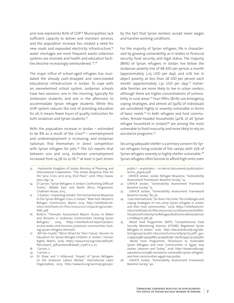and now represents 80% of GDP.<sup>13</sup> Municipalities lack sufficient capacity to deliver and maintain services, and the population increase has created a need for new roads and expanded electricity infrastructure,<sup>14</sup> water shortages are more frequent, waste collection systems are strained, and health and education facilities become increasingly overburdened. 15, 16

The major influx of school-aged refugees has inundated the already cash-strapped and overcrowded educational infrastructure in Jordan. To cope with an overwhelmed school system, Jordanian schools have two sessions: one in the morning, typically for Jordanians students, and one in the afternoon to accommodate Syrian refugee students. While this shift system reduces the cost of providing education for all, it means fewer hours of quality instruction for both Jordanian and Syrian students.17

With the population increase in Jordan – estimated to be 8% as a result of the crisis<sup>18</sup> – unemployment and underemployment is increasing, and Jordanian nationals find themselves in direct competition with Syrian refugees for jobs.<sup>19</sup> The ILO reports that between 2011 and 2014, Jordanian unemployment increased from  $14.5\%$  to 22.1%,<sup>20</sup> at least in part driven

- 13 Hashemite Kingdom of Jordan Ministry of Planning and International Cooperation. "The Jordan Response Plan for the Syria Crisis 2017-2019, (Full Plan)." 2016. http://www. jrpsc.org/, 14.
- 14 D Carrion, "Syrian Refugees in Jordan: Confronting Difficult Truths," Middle East and North Africa Programme. Chatham House, 2015.
- 15 Z Zaatari, "Unpacking Gender: The Humanitarian Response to the Syrian Refugee Crisis in Jordan." New York: Women's Refugee Commission, March 2014. http://reliefweb.int/ sites/reliefweb.int/files/resources/UnpackingGender-WRC.pdf.
- 16 REACH, "Thematic Assessment Report: Access to Water and Tensions in Jordanian Communities Hosting Syrian Refugees," 2014, https://reliefweb.int/report/jordan/ access-water-and-tensions-jordanian-communities-hosting-syrian-refugees-thematic.
- 17 Bill Van Esveld, "'We're Afraid for Their Future': Barriers to Education for Syrian Refugee Children in Jordan," Human Rights Watch, 2016, https://www.hrw.org/sites/default/ files/report\_pdf/jordano816web\_0.pdf, 6-7, 20.
- 18 Carrion, 2.
- 19 Carrion, 2.<br>20 SE Stave
- SE Stave and S Hillesund, "Impact of Syrian Refugees on the Jordanian Labour Market," International Labor Organization, 2015, http://www.ilo.org/wcmsp5/groups/

by the fact that Syrian workers accept lower wages and harsher working conditions.

For the majority of Syrian refugees, life is characterized by growing vulnerability, as it relates to financial security, food security, and legal status. The majority (86%) of Syrian refugees in Jordan live below the Jordanian poverty line of 68 JOD per person a month (approximately 2.25 USD per day), and 10% live in abject poverty, at less than 28 JOD per person each month (approximately  $1.32$  USD per day).<sup>21</sup> Vulnerable families are more likely to live in urban centers, although there are higher concentrations of vulnerability in rural areas.<sup>22</sup> Four-fifths (80%) use emergency coping strategies, and almost all (92%) of individuals are considered highly or severely vulnerable in terms of basic needs.<sup>23</sup> In both refugees and host communities, female-headed households (40% of all Syrian refugee household in Jordan) $24$  are among the most vulnerable to food insecurity and more likely to rely on assistance programs.25

Securing adequate shelter is a primary concern for Syrian refugees living outside of the camps, with 75% of Syrian refugees severely or highly shelter-vulnerable.26 Syrian refugees often borrow to afford high rents, even

public/---arabstates/---ro-beirut/documents/publication/ wcms\_364162.pdf.

- 21 UNHCR Jordan, Jordan Refugee Response, "Vulnerability Assessment Framework: Baseline Survey," 14.
- 22 UNHCR Jordan, "Vulnerability Assessment Framework Baseline Survey," 15.
- 23 UNHCR Jordan, "Vulnerability Assessment Framework Baseline Survey," 80, 30.
- 24 Care International, "Six Years Into Exile: The challenges and coping strategies of non-camp Syrian refugees in Jordan and their host communities," 2016, https://reliefweb.int/ sites/reliefweb.int/files/resources/2016Assessmentofthe-SituationofUrbanSyrianRefugees%26VulnerableJordanian s-FullReport.pdf, 36.
- 25 World Food Programme (WFP), "Comprehensive Food Security Monitoring Exercise (CFSME): Registered Syrian Refugees in Jordan," 2016, http://documents.wfp.org/stellent/groups/public/documents/ena/wfp291175.pdf?\_ga= 2.149505398.1341597863.1504976096-1750603342.1502915762; World Food Programme, "Assistance to Vulnerable Syrian Refugees and Host Communities in Egypt, Iraq, Jordan, Lebanon and Turkey," 2016, http://www1.wfp.org/ operations/200987-assistance-vulnerable-syrian-refugeesand-host-communities-egypt-iraq-jordan.
- 26 UNHCR Jordan, "Vulnerability Assessment Framework Baseline Survey," 40.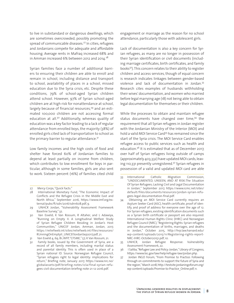to live in substandard or dangerous dwellings, which are sometimes overcrowded, possibly promoting the spread of communicable diseases.<sup>27</sup> In cities, refugees and Jordanians compete for adequate and affordable housing. Average rents in Mafraq increased 68% and in Amman increased 6% between 2012 and 2014. $28$ 

Syrian families face a number of additional barriers to ensuring their children are able to enroll and remain in school, including distance and transport to school, availability of places in a school, missed education due to the Syria crisis, etc. Despite these conditions, 79% of school-aged Syrian children attend school. However, 97% of Syrian school-aged children are at high risk for nonattendance at school, largely because of financial resources,<sup>29</sup> and an estimated 100,000 children are not accessing formal education at all.<sup>30</sup> Additionally, whereas quality of education was a key factor leading to a lack of regular attendance from enrolled boys, the majority (38%) of enrolled girls cited lack of transportation to school as the primary barrier to regular attendance.<sup>31</sup>

Low family incomes and the high costs of food and shelter have forced 60% of Jordanian families to depend at least partially on income from children, which contributes to low enrollment for boys in particular, although in some families, girls are also sent to work. Sixteen percent (16%) of families cited child

engagement or marriage as the reason for no school attendance, particularly those with adolescent girls.

Lack of documentation is also a key concern for Syrian refugees, as many are no longer in possession of their Syrian identification or civil documents (including marriage certificates, birth certificates, and family books32). This concern relates to their ability to register children and access services, though of equal concern is research indicates linkages between gender-based violence and lack of documentation in Jordan.33 Research cites examples of husbands withholding their wives' documentation, and women who married before legal marrying age (18) not being able to obtain legal documentation for themselves or their children.

While the processes to obtain and maintain refugee status documents have changed over time,<sup>34</sup> the requirement that all Syrian refugees in Jordan register with the Jordanian Ministry of the Interior (MOI) and hold a valid MOI Service Card<sup>35</sup> has remained since the start of the Syria crisis. The MOI Service Card enables refugee access to public services such as health and education.<sup>36</sup> It is estimated that as of December 2017, over half of Syrian refugees living outside of camps (approximately 403,332) have updated MOI cards, leaving 110,331 presently unregistered.37 Syrian refugees in possession of a valid and updated MOI card are able

- 33 International Catholic Migration Commission, "UNDOCUMENTED, UNSEEN, AND AT RISK:The Situation Of Syrian Refugees; Lacking Civil and Legal Documentation in Jordan," September 2017, https://www.icmc.net/sites/ default/files/documents/resources/jordan-syrian-refugees-legal-documentation-final.pdf.
- 34 Obtaining an MOI Service Card currently requires an Asylum Seeker Card (ASC), health certificate, proof of identify, and proof of address for everyone over the age of 12. For Syrian refugees, existing identification documents such as a Syrian birth certificate or passport are also required. International Human Rights Clinic (IHRC) and Norwegian Refugee Council (NRC), "Registering Rights: Syrian refugees and the documentation of births, marriages, and deaths in Jordan," October 2015, http://hrp.law.harvard.edu/ wp-content/uploads/2015/11/Registering-rights-report-NRC-IHRC-October20151.pdf, 10.
- 35 UNHCR, Jordan Refugee Response: Vulnerability Assessment Framework, 22.
- 36 I Saliba, "Refugee Law and Policy: Jordan," Library of Congress, https://www.loc.gov/law/help/refugee-law/jordan.php.
- 37 Jordan INGO Forum, "From Promise to Practice: Following through on commitments to support the future of Syria and the region," March 2018, http://testsite.jordaningoforum.org/ wp-content/uploads/Promise-to-Practice\_Online.pdf, 11.

<sup>27</sup> Mercy Corps, "Quick Facts."

<sup>28</sup> International Monetary Fund, "The Economic Impact of Conflicts and the Refugee Crisis in the Middle East and North Africa," September 2016, https://www.imf.org/external/pubs/ft/sdn/2016/sdn1608.pdf, 9.

<sup>29</sup> UNHCR Jordan, "Vulnerability Assessment Framework Baseline Survey," 32.

<sup>30</sup> Van Esveld; K Van Rossum, R Altaher, and L Adawiya, "Running on Empty II: A Longitudinal Welfare Study of Syrian Refugee Children Residing in Jordan's Host Communities," UNICEF Jordan, Amman, Jordan, 2017, https://reliefweb.int/sites/reliefweb.int/files/resources/ RUnningOnEmptyII\_UNICEFJordanSep2017.pdf, 21.

<sup>31</sup> Van Esveld 4, 69, 81; WFP, "CFSME," 57; K Van Rossum, 21.

<sup>32</sup> Family books, issued by the Government of Syria, are a record of all family members, including marital status and parental identity. This is often used in place of a Syrian national ID. Source: Norwegian Refugee Council, "Syrian refugees right to legal identity: implications for return," Briefing note, January 2017, https://www.nrc.no/ globalassets/pdf/briefing-notes/icla/final-syrian-refugees-civil-documentation-briefing-note-21-12-2016.pdf.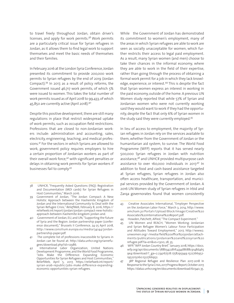to travel freely throughout Jordan, obtain driver's licenses, and apply for work permits.<sup>38</sup> Work permits are a particularly critical issue for Syrian refugees in Jordan, as it allows them to find legal work to support themselves and meet the basic needs of themselves and their families.

In February 2016 at the London Syria Conference, Jordan presented its commitment to provide 200,000 work permits to Syrian refugees by the end of 2019 (Jordan Compact).39 In 2017, as a result of policy reforms, the Government issued 46,717 work permits, of which 5% were issued to women. This takes the total number of work permits issued as of April 2018 to 99,433, of which 45,850 are currently active (April 2018).40

Despite this positive development, there are still many regulations in place that restrict widespread uptake of work permits, such as occupation field restrictions. Professions that are closed to non-Jordanian workers include: administration and accounting, sales, electricity, engineering, teaching, and medical professions.41 For the sectors in which Syrians are allowed to work, government policy requires employers to hire a certain proportion of Jordanian workers as part of their overall work force,<sup>42</sup> with significant penalties or delays in obtaining work permits for Syrian workers if businesses fail to comply.43

While the Government of Jordan has demonstrated its commitment to women's employment, many of the areas in which Syrian refugees are able to work are seen as socially unacceptable for women, which further restricts their access to legal paid employment. As a result, many Syrian women (and men) choose to take their chances in the informal economy, where they are able to work in the field of their expertise, rather than going through the process of obtaining a formal work permit for a job in which they lack knowledge, experience, or interest.<sup>44</sup> This is despite the fact that Syrian women express an interest in working in the paid economy, outside of the home. A previous UN Women study reported that while 57% of Syrian and Jordanian women who were not currently working said they would want to work if they had the opportunity, despite the fact that only 6% of Syrian women in the study said they were currently employed.45

In lieu of access to employment, the majority of Syrian refugees in Jordan rely on the services available to them, whether from the Government of Jordan or the humanitarian aid system, to survive. The World Food Programme (WFP) reports that it has served nearly 500,000 Syrian refugees in Jordan with nutrition assistance,<sup>46</sup> and UNHCR provided multipurpose cash assistance to over 160,000 individuals in 2017.<sup>47</sup> In addition to food and cash-based assistance targeted at Syrian refugees, Syrian refugees in Jordan also often access healthcare, transportation, and municipal services provided by the Government of Jordan. A 2016 UN Women study of Syrian refugees in Irbid and Zarqa governorates found that women consistently

<sup>38</sup> UNHCR, "Frequently Asked Questions (FAQ): Registration and Documentation (MOI cards) for Syrian Refugees in Host Communities," March 2016.

<sup>39</sup> Government of Jordan, "The Jordan Compact: A New Holistic Approach between the Hashemite Kingdom of Jordan and the International Community to Deal with the Syrian Refugee Crisis," *ReliefWeb*, February 8, 2016, https:// reliefweb.int/report/jordan/jordan-compact-new-holisticapproach-between-hashemite-kingdom-jordan-and.

<sup>40</sup> Government of Jordan, EU, and UN, "Supporting the future of Syria and the Region: Jordan partnership paper (conference document)," Brussels II Conference, 24-25 April 2018, http://www.consilium.europa.eu/media/34144/jordanpartnership-paper.pdf.

The complete list of professions inaccessible to Syrians in Jordan can be found at: http://data.unhcr.org/syrianrefugees/download.php?id=12986.

<sup>42</sup> International Labor Organization, United Nations Development Programme, and the World Food Programme, "Jobs Make the Difference: Expanding Economic Opportunities for Syrian Refugees and Host Communities," ReliefWeb, April 5, 2017, https://reliefweb.int/report/ syrian-arab-republic/jobs-make-difference-expandingeconomic-opportunities-syrian-refugees.

<sup>43</sup> Creative Associates International, "Employer Perspective on the Jordanian Labor Force," March 3, 2014, http://www. amcham.jo/Portal1/Upload/Block/Image/Creative%20 Associates%20International%20Report.pdf.

<sup>44</sup> Howden, Patchett, Alfred, "The Compact Experiment."

<sup>45</sup> UN Women and REACH, "Women Working: Jordanian and Syrian Refugee Women's Labour Force Participation and Attitudes Toward Employment," 2017, http://www2. unwomen.org/-/media/field%20office%20jordan/attachments/publications/jordanian%20and%20syrian%20 refugee.pdf?la=en&vs=1300, 28, 35.

<sup>46</sup> WFP, "WFP Jordan Country Brief," January 2018, https://docs. wfp.org/api/documents/788b342281fc434d8688c9148d465 9e4/download/?\_ga=2.234167518.1758295949.1522766952- 1952215060.1522766952.

<sup>3</sup>RP Regional Refugee and Resilience Plan 2017-2018 In Response to the Syria Crisis, 2017 Progress Report, October 2017, https://data2.unhcr.org/en/documents/download/60340, 35.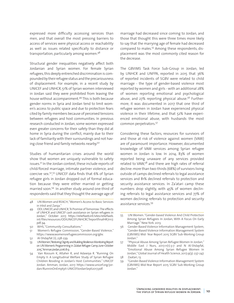expressed more difficulty accessing services than men, and that overall the most pressing barriers to access of services were physical access or reachability as well as issues related specifically to distance or transportation, particularly among women.48

Structural gender inequalities negatively affect both Jordanian and Syrian women. For female Syrian refugees, this deeply entrenched discrimination is compounded by their refugee status and the precariousness of displacement. For example, in a recent study by UNICEF and UNHCR, 51% of Syrian women interviewed in Jordan said they were prohibited from leaving the house without accompaniment.49 This is both because gender norms in Syria and Jordan tend to limit women's access to public space and due to protection fears cited by family members because of perceived tensions between refugees and host communities. In previous research conducted in Jordan, some women expressed even greater concerns for their safety than they did at home in Syria during the conflict, mainly due to their lack of familiarity with their surroundings and not having close friend and family networks nearby.50

Studies of humanitarian crises around the world show that women are uniquely vulnerable to safety issues.51 In the Jordan context, these include reports of child/forced marriage, intimate partner violence, and coercive sex.<sup>52</sup>,<sup>53</sup> UNICEF data finds that 6% of Syrian refugee girls in Jordan dropped out of formal education because they were either married or getting married soon.54 In another study around one-third of respondents said that they thought the average age of

- 49 ODI, UNICEF, and UNHCR, "A Promise of Tomorrow: The effects of UNHCR and UNICEF cash assistance on Syrian refugees in Jordan," October 2017, https://reliefweb.int/sites/reliefweb. int/files/resources/ODIUNICEFUNHCRCTreportfinalHR71117. pdf, 94.
- 50 WHS, "Community Consultations."
- 51 Women's Refugee Commission, "Gender-Based Violence," https://www.womensrefugeecommission.org/gbv.
- 52 Al-Shdayfat (1), 238-239.
- 53 UN Women, "Restoring Dignity and Building Resilience: Monitoring Report on UN Women's Programming in Za'atari Refugee Camp, June–October 2015," Amman, Jordan, 2016: 8-9.
- 54 Van Rossum K, Altaher R, and Adawiya R. "Running On Empty II: A Longitudinal Welfare Study of Syrian Refugee Children Residing in Jordan's Host Communities." UNICEF Jordan. Amman, Jordan, 2017. https://www.unicef.org/jordan/RunninOnEmptyII-UNICEFJordanSept2017.pdf.

marriage had decreased since coming to Jordan, and those that thought this were three times more likely to say that the marrying age of female had decreased compared to males.<sup>55</sup> Among these respondents, displacement was the most commonly cited reason for the decrease.

The GBVIMS Task Force Sub-Group in Jordan, led by UNHCR and UNFPA, reported in 2015 that 36% of reported incidents of SGBV were related to child marriage - the type of gender-based violence most reported by women and girls - with an additional 28% of women reporting emotional and psychological abuse, and 27% reporting physical abuse.<sup>56</sup> Furthermore, it was documented in 2017 that one third of refugee women in Jordan have experienced physical violence in their lifetime, and that 52% have experienced emotional abuse, with husbands the most common perpetrators.57

Considering these factors, resources for survivors of and those at risk of violence against women (VAW) are of paramount importance. However, documented knowledge of VAW services among Syrian refugee women in Jordan is low. In 2014, 83% of women reported being unaware of any services provided related to VAW,58 and there are high rates of referral decline: more than two-thirds (68%) of survivors living outside of camps declined referrals to legal assistance services and 81% declined referrals to protection and security assistance services. In Za'atari camp these numbers drop slightly, with 45% of women declining referrals to legal assistance services and 77% of women declining referrals to protection and security assistance services.59

57 "Physical Abuse Among Syrian Refugee Women In Jordan," Middle East J Nurs, 2017;11(1):3-7 and N Al-Shdayfat, "Emotional Abuse Among Syrian Refugee Women In Jordan," Global Journal of Health Science, 2017;9(3): 237-247. 58 Zaatari, 13.

59 "Gender-Based Violence Information Management System (GBVIMS) Mid-Year Report 2015 SGBV Sub-Working Group Jordan."

<sup>48</sup> UN Women and REACH, "Women's Access to Basic Services in Irbid and Zarqa."

<sup>55</sup> UN Women. "Gender-based Violence And Child Protection Among Syrian Refugees In Jordan, With A Focus On Early Marriage." New York. 2013.

<sup>56</sup> Gender-Based Violence Information Management System, "Gender-Based Violence Information Management System (GBVIMS) Mid- Year Report 2015 SGBV Sub-Working Group Jordan."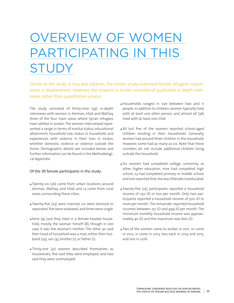# <span id="page-12-0"></span>OVERVIEW OF WOMEN PARTICIPATING IN THIS **STUDY**

Similar to the study in Iraq and Lebanon, the Jordan study examined female refugees' experiences in displacement. However, the research in Jordan consisted of qualitative in-depth interviews rather than quantitative surveys.

The study consisted of thirty-nine (39) in-depth interviews with women in Amman, Irbid, and Mafraq, three of the four main areas where Syrian refugees have settled in Jordan. The women interviewed represented a range in terms of marital status, educational attainment, household size, status in household, and experiences with violence in their lives in Jordan, whether domestic violence or violence outside the home. Demographic details are included below, and further information can be found in the Methodological Appendix.

#### Of the 39 female participants in the study:

- **.** Twenty-six (26) came from urban locations around Amman, Mafraq, and Irbid, and 13 came from rural areas surrounding these cities.
- **.** Twenty-five (25) were married, six were divorced or separated, five were widowed, and three were single.
- Nine (9) said they lived in a female-headed household, mostly the woman herself (8), though in one case it was the woman's mother. The other 30 said their head of household was a man, either their husband  $(24)$ , son  $(4)$ , brother  $(1)$ , or father  $(1)$ .
- **.** Thirty-one (31) women described themselves as housewives, five said they were employed, and two said they were unemployed.
- **.** Households ranged in size between two and 11 people. In addition to children, women typically lived with at least one other person, and almost all (36) lived with at least one child.
- **.** All but five of the women reported school-aged children residing in their households. Generally, women had around three children in the household. However, some had as many as six. Note that these numbers do not include additional children living outside the household.
- **.** Six women had completed college, university, or other higher education, nine had completed high school, 23 had completed primary or middle school, and one reported that she was illiterate/uneducated.
- **.** Twenty-five (25) participants reported a household income of 250 JD or less per month. Only two participants reported a household income of 500 JD or more per month. The remainder reported household incomes between 251 JD and 499 JD per month. The minimum monthly household income was approximately 40 JD, and the maximum was 600 JD.
- **.** Two of the women came to Jordan in 2011, 10 came in 2012, 21 came in 2013, two each in 2014 and 2015, and one in 2016.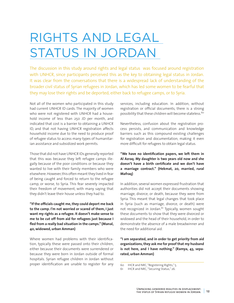### <span id="page-13-0"></span>RIGHTS AND LEGAL STATUS IN JORDAN

The discussion in this study around rights and legal status was focused around registration with UNHCR, since participants perceived this as the key to obtaining legal status in Jordan. It was clear from the conversations that there is a widespread lack of understanding of the broader civil status of Syrian refugees in Jordan, which has led some women to be fearful that they may lose their rights and be deported, either back to refugee camps, or to Syria.

Not all of the women who participated in this study had current UNHCR ID cards. The majority of women who were not registered with UNHCR had a household income of less than 250 JD per month, and indicated that cost is a barrier to obtaining a UNHCR ID, and that not having UNHCR registration affects household income due to the need to produce proof of refugee status to access many types of humanitarian assistance and subsidized work permits.

Those that did not have UNHCR IDs generally reported that this was because they left refugee camps illegally because of the poor conditions or because they wanted to live with their family members who were elsewhere. However, this often meant they lived in fear of being caught and forced to return to the refugee camp, or worse, to Syria. This fear severely impacted their freedom of movement, with many saying that they didn't leave their house unless they had to.

**"If the officials caught me, they could deport me back to the camp. I'm not worried or scared of them, I just want my rights as a refugee. It doesn't make sense to me to be cut off from aid for refugees just because I fled from a really bad situation in the camps." (Manal, 40, widowed, urban Amman)**

Where women had problems with their identification, typically these were passed onto their children, either because their documents were surrendered or because they were born in Jordan outside of formal hospitals. Syrian refugee children in Jordan without proper identification are unable to register for any services, including education. In addition, without registration or official documents, there is a strong possibility that these children will become stateless.<sup>60</sup>

Nevertheless, confusion about the registration process persists, and communication and knowledge barriers such as this compound existing challenges for registration and documentation, making it even more difficult for refugees to obtain legal status.

**"We have no identification papers, we left them in Al Azraq. My daughter is two years old now and she doesn't have a birth certificate and we don't have a marriage contract." (Hekmat, 20, married, rural Mafraq)**

In addition, several women expressed frustration that authorities did not accept their documents showing marriage, divorce, or death, because they were from Syria. This meant that legal changes that took place in Syria (such as marriage, divorce, or death) were not recognized in Jordan.<sup>61</sup> Typically, women sought these documents to show that they were divorced or widowed and the head of their household, in order to demonstrate the absence of a male breadwinner and the need for additional aid.

**"I am separated, and in order to get priority from aid organizations, they ask me for proof that my husband is not here, and I have nothing." (Ramya, 43, separated, urban Amman)**

<sup>60</sup> IHCR and NRC, "Registering Rights," 5.<br>61 IHCR and NRC "Securing Status" 26

IHCR and NRC, "Securing Status," 26.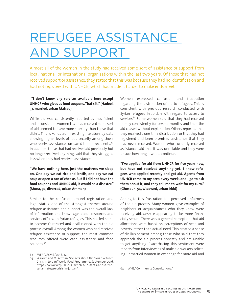## <span id="page-14-0"></span>REFUGEE ASSISTANCE AND SUPPORT

Almost all of the women in the study had received some sort of assistance or support from local, national, or international organizations within the last two years. Of those that had not received support or assistance, they stated that this was because they had no identification and had not registered with UNHCR, which had made it harder to make ends meet.

#### **"I don't know any services available here except UNHCR who gives us food coupons. That's it." (Hadeel, 33, married, urban Mafraq)**

While aid was consistently reported as insufficient and inconsistent, women that had received some sort of aid seemed to have more stability than those that didn't. This is validated in existing literature by data showing higher levels of food security among those who receive assistance compared to non-recipients.<sup>62</sup> In addition, those that had received aid previously, but no longer received anything, said that they struggled less when they had received assistance.

**"We have nothing here, just the mattress we sleep on. One day we eat rice and lentils, one day we eat soup or open a can of cheese. But if I did not have the food coupons and UNHCR aid, it would be a disaster." (Mona, 50, divorced, urban Amman)**

Similar to the confusion around registration and legal status, one of the strongest themes around refugee assistance and support was the overall lack of information and knowledge about resources and services offered to Syrian refugees. This has led some to become frustrated and disillusioned with the aid process overall. Among the women who had received refugee assistance or support, the most common resources offered were cash assistance and food coupons.<sup>63</sup>

Women expressed confusion and frustration regarding the distribution of aid to refugees. This is consistent with previous research conducted with Syrian refugees in Jordan with regard to access to services<sup>64</sup> Some women said that they had received money consistently for several months and then the aid ceased without explanation. Others reported that they received a one-time distribution, or that they had registered and been promised assistance that they had never received. Women who currently received assistance said that it was unreliable and they were unsure how long it would continue.

**"I've applied for aid from UNHCR for five years now, but have not received anything yet. I know refugees who applied recently and got aid. Agents from UNHCR come to my area every week, and I go to ask them about it, and they tell me to wait for my turn." (Ghosoun, 54, widowed, urban Irbid)**

Adding to this frustration is a perceived unfairness of the aid process. Many women gave examples of neighbors or acquaintances who they knew were receiving aid, despite appearing to be more financially secure. There was a general perception that aid allocations were based on perceptions of need and poverty, rather than actual need. This created a sense of disillusionment among those who said that they approach the aid process honestly and are unable to get anything. Exacerbating this sentiment were reports from interviewees of male aid workers soliciting unmarried women in exchange for more aid and

<sup>62</sup> WFP, "CFSME," 2016, 32.

<sup>63</sup> A Karim and MJ Altman, "10 Facts about the Syrian Refugee Crisis in Jordan" World Food Programme, September 2016, https://www.wfpusa.org/articles/10-facts-about-thesyrian-refugee-crisis-in-jordan/.

<sup>64</sup> WHS, "Community Consultations."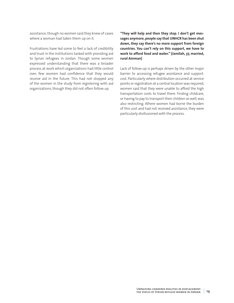assistance, though no women said they knew of cases where a woman had taken them up on it.

Frustrations have led some to feel a lack of credibility and trust in the institutions tasked with providing aid to Syrian refugees in Jordan. Though some women expressed understanding that there was a broader process at work which organizations had little control over, few women had confidence that they would receive aid in the future. This had not stopped any of the women in the study from registering with aid organizations, though they did not often follow up.

**"They will help and then they stop. I don't get messages anymore, people say that UNHCR has been shut down, they say there's no more support from foreign countries. You can't rely on this support, we have to work to afford food and water." (Jamilah, 37, married, rural Amman)**

Lack of follow-up is perhaps driven by the other major barrier to accessing refugee assistance and support: cost. Particularly where distribution occurred at service points or registration at a central location was required, women said that they were unable to afford the high transportation costs to travel there. Finding childcare, or having to pay to transport their children as well, was also restricting. Where women had borne the burden of this cost and had not received assistance, they were particularly disillusioned with the process.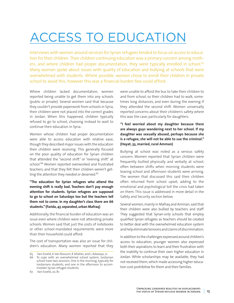### <span id="page-16-0"></span>ACCESS TO EDUCATION

Interviews with women around services for Syrian refugees tended to focus on access to education for their children. Their children continuing education was a primary concern among mothers, and where children had proper documentation, they were typically enrolled in school.<sup>65</sup> Many women spoke about issues with quality of education and bullying at schools that were overwhelmed with students. Where possible, women chose to enroll their children in private school to avoid this, however this was a financial burden few could afford.

Where children lacked documentation, women reported being unable to get them into any schools (public or private). Several women said that because they couldn't provide paperwork from schools in Syria, their children were not placed into the correct grades in Jordan. When this happened, children typically refused to go to school, choosing instead to wait to continue their education in Syria.

Women whose children had proper documentation were able to access education with relative ease, though they described major issues with the education their children were receiving. This generally focused on the poor quality of education for Syrian children that attended the "second shift" or "evening shift" at school.<sup>66</sup> Women reported overworked and frustrated teachers, and that they felt their children weren't getting the attention they needed or deserved.<sup>67</sup>

**"The education for Syrian refugees who attend the evening shift is really bad. Teachers don't pay enough attention for students. Syrian refugees are supposed to go to school on Saturdays too but the teachers tell them not to come. In my daughter's class there are 66 students." (Farida, 47, separated, urban Mafraq)** 

Additionally, the financial burden of education was an issue even where children were not attending private schools. Women said that just the costs of notebooks or other school-mandated requirements were more than their household could afford.

The cost of transportation was also an issue for children's education. Many women reported that they were unable to afford the bus to take their children to and from school, so their children had to walk, sometimes long distances, and even during the evening if they attended the second shift. Women universally reported concerns about their children's safety where this was the case, particularly for daughters.

#### **"I feel worried about my daughter because there are always guys wandering next to her school. If my daughter was sexually abused, perhaps because she is a refugee, she will not be able to sue the criminal." (Hayat, 33, married, rural Amman)**

Bullying at school was noted as a serious safety concern. Women reported that Syrian children were frequently bullied physically and verbally at school, often between shifts when morning students were leaving school and afternoon students were arriving. The women that discussed this said their children often returned from school upset, adding to the emotional and psychological toll the crisis had taken on them. This issue is addressed in more detail in the Safety and Security section below.

Several women, mainly in Mafraq and Amman, said that their children were also bullied by teachers and staff. They suggested that Syrian-only schools that employ qualified Syrian refugees as teachers should be created to better deal with the overwhelmed education system and help eliminate tensions and claims of discrimination.

In addition to the challenges expressed around children's access to education, younger women also expressed both their aspirations to learn and their frustration with the inability to continue their own higher education in Jordan. While scholarships may be available, they had not received them, which made accessing higher education cost-prohibitive for them and their families.

<sup>65</sup> Van Esveld; K Van Rossum, R Altaher, and L Adawiya, 21.

<sup>66</sup> To cope with an overwhelmed school system, Jordanian school have two sessions. One in the morning, typically for Jordanians students, and one in the afternoon to accommodate Syrian refugee students.

<sup>67</sup> Van Esveld, 20, 81.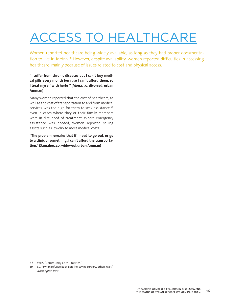# <span id="page-17-0"></span>ACCESS TO HEALTHCARE

Women reported healthcare being widely available, as long as they had proper documentation to live in Jordan.<sup>68</sup> However, despite availability, women reported difficulties in accessing healthcare, mainly because of issues related to cost and physical access.

**"I suffer from chronic diseases but I can't buy medical pills every month because I can't afford them, so I treat myself with herbs." (Mona, 50, divorced, urban Amman)**

Many women reported that the cost of healthcare, as well as the cost of transportation to and from medical services, was too high for them to seek assistance.<sup>69</sup> even in cases where they or their family members were in dire need of treatment. Where emergency assistance was needed, women reported selling assets such as jewelry to meet medical costs.

**"The problem remains that if I need to go out, or go to a clinic or something, I can't afford the transportation." (Samaher, 40, widowed, urban Amman)**

<sup>68</sup> WHS, "Community Consultations."

<sup>69</sup> Su, "Syrian refugee baby gets life-saving surgery, others wait," *Washington Post*.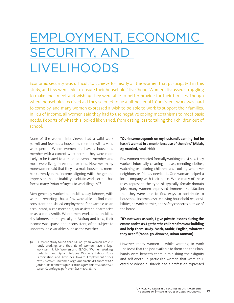# <span id="page-18-0"></span>EMPLOYMENT, ECONOMIC SECURITY, AND LIVELIHOODS

Economic security was difficult to achieve for nearly all the women that participated in this study, and few were able to ensure their households' livelihood. Women discussed struggling to make ends meet and wishing they were able to better provide for their families, though where households received aid they seemed to be a bit better off. Consistent work was hard to come by, and many women expressed a wish to be able to work to support their families. In lieu of income, all women said they had to use negative coping mechanisms to meet basic needs. Reports of what this looked like varied, from eating less to taking their children out of school.

None of the women interviewed had a valid work permit and few had a household member with a valid work permit. Where women did have a household member with a current work permit, they were more likely to be issued to a male household member, and most were living in Amman or Irbid. However, many more women said that they or a male household member currently earns income, aligning with the general impression that an inability to obtain work permits has forced many Syrian refugees to work illegally.<sup>70</sup>

Men generally worked as unskilled day laborers, with women reporting that a few were able to find more consistent and skilled employment, for example as an accountant, a car mechanic, an assistant pharmacist, or as a metalsmith. Where men worked as unskilled day laborers, more typically in Mafraq and Irbid, their income was sparse and inconsistent, often subject to uncontrollable variables such as the weather.

#### **"Our income depends on my husband's earning, but he hasn't worked in a month because of the rains" (Ablah, 27, married, rural Irbid)**

Few women reported formally working; most said they worked informally cleaning houses, mending clothes, watching or tutoring children, and cooking whenever neighbors or friends needed it. One woman helped a local company with their books. While many of these roles represent the type of typically female-domain jobs, many women expressed immense satisfaction that they were able to find ways to contribute to household income despite having household responsibilities, no work permits, and safety concerns outside of the house.

#### **"It's not work as such, I give private lessons during the exams and tests. I gather the children from our building and help them study. Math, Arabic, English, whatever they need." (Mona, 50, divorced, urban Amman)**

However, many women – while wanting to work – believed that the jobs available to them and their husbands were beneath them, diminishing their dignity and self-worth. In particular, women that were educated or whose husbands had a profession expressed

<sup>70</sup> A recent study found that 6% of Syrian women are currently working, and that 2% of women have a legal work permit. UN Women and REACH, "Women Working: Jordanian and Syrian Refugee Women's Labour Force Participation and Attitudes Toward Employment," 2017, http://www2.unwomen.org/-/media/field%20office%20 jordan/attachments/publications/jordanian%20and%20 syrian%20refugee.pdf?la=en&vs=1300, 28, 35.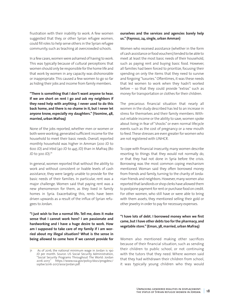frustration with their inability to work. A few women suggested that they, or other Syrian refugee women, could fill roles to help serve others in the Syrian refugee community, such as teaching at overcrowded schools.

In a few cases, women were ashamed of having to work. This was typically because of cultural perceptions that women should only be responsible for the home life and that work by women in any capacity was dishonorable or inappropriate. This caused a few women to go so far as hiding their jobs and income from family members.

**"There is something that I don't want anyone to hear. If we are short on rent I go and ask my neighbors if they need help with anything. I never used to do this back home, and there is no shame in it, but I never let anyone know, especially my daughters." (Yasmine, 48, married, urban Mafraq)**

None of the jobs reported, whether men or women or both were working, generated sufficient income for the household to meet their basic needs. Overall, reported monthly household was higher in Amman (200 JD to 600 JD) and Irbid (40 JD to 445 JD) than in Mafraq (80 JD to  $300$  JD). $71$ 

In general, women reported that without the ability to work and without consistent or livable levels of cash assistance, they were largely unable to provide for the basic needs of their families. In particular, rent was a major challenge. Women said that paying rent was a new phenomenon for them, as they lived in family homes in Syria. Exacerbating this, rents have been driven upwards as a result of the influx of Syrian refugees to Jordan.

**"I just wish to live a normal life. Tell me, does it make sense that I cannot work here? I am passionate and hardworking and I have a huge desire to work. How am I supposed to take care of my family if I am worried about my illegal situation? What is the sense in being allowed to come here if we cannot provide for** 

#### **ourselves and the services and agencies barely help us." (Fayrouz, 24, single, urban Amman)**

Women who received assistance (whether in the form of cash assistance or food vouchers) tended to be able to meet at least the most basic needs of their household, such as paying rent and buying basic food. However, all families had been forced to prioritize, focusing their spending on only the items that they need to survive and forgoing "luxuries." Oftentimes, it was these needs that led women to work when they hadn't worked before – so that they could provide "extras" such as money for transportation or clothes for their children.

The precarious financial situation that nearly all women in the study described has led to an increase in stress for themselves and their family members. Without reliable income or the ability to save, women spoke about living in fear of "shocks" or even normal lifecycle events such as the cost of pregnancy or a new mouth to feed. These stresses are even greater for women who are not registered with UNHCR.

To cope with financial insecurity, many women describe resorting to things that they would not normally do, or that they had not done in Syria before the crisis. Borrowing was the most common coping mechanism mentioned. Woman said they often borrowed money from friends and family, turning to the charity of Jordanian friends and neighbors. However, many women also reported that landlords or shop clerks have allowed them to postpone payment for rent or purchase food on credit. For other women, who still have or were able to bring with them assets, they mentioned selling their gold or other jewelry in order to pay for necessary expenses.

#### **"I have lots of debt. I borrowed money when we first came, but I have other debts too for the pharmacy, and vegetable store." (Eman, 38, married, urban Mafraq)**

Women also mentioned making other sacrifices because of their financial situation, such as sending their children to public school, or not continuing with the tutors that they need. Where women said that they had withdrawn their children from school, it was typically young children who they would

As of 2016, the national minimum wage in Jordan is 190 JD per month. Source: US Social Security Administration, "Social Security Programs Throughout The World: Jordan 2016-2017," https://www.ssa.gov/policy/docs/progdesc/ ssptw/2016-2017/asia/jordan.pdf.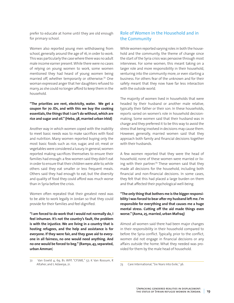prefer to educate at home until they are old enough for primary school.

Women also reported young men withdrawing from school, generally around the age of 16, in order to work. This was particularly the case where there was no adult male income earner present. While there were no cases of relying on young women to work, some women mentioned they had heard of young women being married off, whether temporarily or otherwise.72 One woman expressed anger that her daughters refused to marry, as she could no longer afford to keep them in the household.

#### **"The priorities are rent, electricity, water. We get a coupon for 70 JDs, and with this we buy the cooking essentials, the things that I can't do without, which are rice and sugar and oil." (Heba, 38, married urban Irbid)**

Another way in which women coped with the inability to meet basic needs was to make sacrifices with food and nutrition. Many women reported buying only the most basic foods such as rice, sugar, and oil; meat or vegetables were considered a luxury. In general, women reported making sacrifices themselves to ensure their families had enough: a few women said they didn't eat in order to ensure that their children were able to, while others said they eat smaller or less frequent meals. Others said they had enough to eat, but the diversity and quality of food they could afford was much worse than in Syria before the crisis.

Women often repeated that their greatest need was to be able to work legally in Jordan so that they could provide for their families and feel dignified.

**"I am forced to do work that I would not normally do, I feel inhuman. It's not the country's fault, the problem is with the injustice. We are living in a country that is hosting refugees, and the help and assistance is for everyone. If they were fair, and they gave aid to everyone in all fairness, no one would need anything. And no one would be forced to beg." (Ramya, 43, separated, urban Amman**)

### Role of Women in the Household and in the Community

While women reported varying roles in both the household and the community, the theme of change since the start of the Syria crisis was pervasive through most interviews. For some women, this meant taking on a larger role and more responsibility in their household, venturing into the community more, or even starting a business. For others fear of the unknown and for their safety meant that they now have far less interaction with the outside world.

The majority of women lived in households that were headed by their husband or another male relative, typically their father or their son. In these households, reports varied on women's role in household decisionmaking. Some women said that their husband was in charge and they preferred it to be this way to avoid the stress that being involved in decisions may cause them. However, generally, married women said that they approach both family and financial decisions together with their husbands.

A few women reported that they were the head of household; none of these women were married or living with their partner.<sup>73</sup> These women said that they made all decisions for the household, including both financial and non-financial decisions. In some cases, they felt that this had placed a large burden on them and that affected their psychological well-being.

#### **"The only thing that bothers me is the bigger responsibility I was forced to bear after my husband left me. I'm responsible for everything and that causes me a huge mental stress. Cutting off the aid made things even worse." (Asma, 25, married, urban Mafraq)**

Almost all women said there had been major changes in their responsibility in their household compared to before the Syria conflict. Typically, prior to the conflict, women did not engage in financial decisions or any affairs outside the home. What they needed was provided for them by the male head of household.

<sup>72</sup> Van Esveld 4, 69, 81; WFP, "CFSME," 57; K Van Rossum, R Altaher, and L Adawiya, 21.

<sup>73</sup> Care International, "Six Years Into Exile," 36.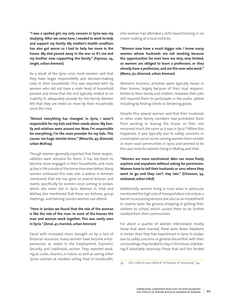**"I was a spoiled girl, my only concern in Syria was my studying. After we came here, I needed to work to help and support my family. My mother's health condition has also got worse so I had to help her more in the house. My dad passed away in the war so it's me and my brother now supporting the family." (Fayrouz, 24, single, urban Amman)** 

As a result of the Syria crisis, most women said that they have larger responsibility and decision-making roles in their households. This was reported both by women who did not have a male head of household present and those that did, and typically related to an inability to adequately provide for the family. Women felt that they are relied on more by their households since the crisis.

**"Almost everything has changed. In Syria, I wasn't responsible for my kids and their needs alone. My family and relatives were around me. Now, I'm responsible for everything, I'm the main provider for my kids. This causes me huge mental stress." (Masa'da, 47, divorced, urban Mafraq)**

Though women generally reported that these responsibilities were stressful for them, it has led them to become more engaged in their households, and more active in life outside of the home than ever before. Many women embraced this new role: a widow in Amman mentioned that she has gone to several lectures and events specifically for women since coming to Jordan, which she never did in Syria. Women in Irbid and Mafraq also mentioned that there are lectures, group meetings, and training courses women can attend.

#### **"Here in Jordan we found that the role of the woman is like the role of the man. In most of the houses the man and woman work together. This was rarely seen in Syria." (Amal, 41, married, urban Amman)**

Faced with increased stress brought on by a lack of financial resources, many women have become entrepreneurial, as noted in the Employment, Economic Security, and Livelihoods section. They reported working as cooks, cleaners, or tutors, as well as seeing other Syrian women at markets selling food or handicrafts. One woman had attended a skills-based training in ice cream making at a local institute.

**"Women now have a much bigger role. I know many women whose husbands are not working because the opportunities for men here are very, very limited, so women are obliged to learn a profession, or they already have a profession, and are the ones who work." (Mona, 50, divorced, urban Amman)**

Women's business activities were typically based in their homes, largely because of their dual responsibilities to their family and children. However, their jobs still required them to participate in the public sphere including by finding clients or delivering goods.

Despite this, several women said that their husbands or other male family members had prohibited them from working or leaving the house, so their role remained much the same as it was in Syria.74 When this happened, it was typically due to safety concerns or conservative social norms among women from smaller or more rural communities in Syria, and seemed to be the case more for women living in Mafraq and Irbid.

**"Women are more constrained. Men can move freely anytime and anywhere without asking for permission. Women have to tell their husbands or sons where they want to go and they can't stay late." (Ghosoun, 54, widowed, urban Irbid)**

Additionally, women living in rural areas in particular mentioned the high cost of transportation not only as a barrier to accessing services, but also as an impediment to routine tasks like grocery shopping or getting their children to school, which caused them to be further isolated from their communities.

For about a quarter of women interviewed, mostly those that were married, there were fewer freedoms in Jordan than they had experienced in Syria. In Jordan, due to safety concerns or general discomfort with their surroundings, they tended to stay in the house, only leaving if absolutely necessary. Those that said this tended

<sup>74</sup> ODI, UNICEF, and UNHCR, "A Promise of Tomorrow," 94.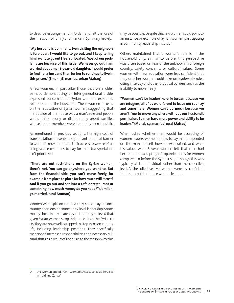to describe estrangement in Jordan and felt the loss of their network of family and friends in Syria very heavily.

**"My husband is dominant. Even visiting the neighbors is forbidden, I would like to go out, and I keep telling him I want to go out I feel suffocated. Most of our problems are because of this issue! We never go out, I am worried about my 18-year-old daughter, I would prefer to find her a husband than for her to continue to live in this prison." (Eman, 38, married, urban Mafraq)**

A few women, in particular those that were older, perhaps demonstrating an inter-generational divide, expressed concern about Syrian women's expanded role outside of the household. These women focused on the reputation of Syrian women, suggesting that life outside of the house was a man's role and people would think poorly or dishonorably about families whose female members were frequently seen in public.

As mentioned in previous sections, the high cost of transportation presents a significant practical barrier to women's movement and their access to services,75 as using scarce resources to pay for their transportation isn't prioritized.

**"There are not restrictions on the Syrian woman, there's not. You can go anywhere you want to. But from the financial side, you can't move freely, for example from place to place for how much will it cost? And if you go out and sat into a cafe or restaurant or something how much money do you need?" (Jamilah, 37, married, rural Amman)**

Women were split on the role they could play in community decisions or community-level leadership. Some, mostly those in urban areas, said that they believed that given Syrian women's expanded role since the Syria crisis, they are now well equipped to step into community life, including leadership positions. They specifically mentioned increased responsibilities and necessary cultural shifts as a result of the crisis as the reason why this

may be possible. Despite this, few women could point to an instance or example of Syrian women participating in community leadership in Jordan.

Others maintained that a woman's role is in the household only. Similar to before, this perspective was often based on fear of the unknown in a foreign country, safety concerns, or cultural values. Some women with less education were less confident that they or other women could take on leadership roles, citing illiteracy and other practical barriers such as the inability to move freely.

**"Women can't be leaders here in Jordan because we are refugees, all of us were forced to leave our country and come here. Women can't do much because we aren't free to move anywhere without our husband's permission. So men have more power and ability to be leaders." (Manal, 49, married, rural Mafraq)**

When asked whether men would be accepting of women leaders, women tended to say that it depended on the man himself, how he was raised, and what his values were. Several women felt that men had become more accepting of expanded roles for women compared to before the Syria crisis, although this was typically at the individual, rather than the collective, level. At the collective level, women were less confident that men could embrace women leaders.

<sup>75</sup> UN Women and REACH, "Women's Access to Basic Services in Irbid and Zarqa."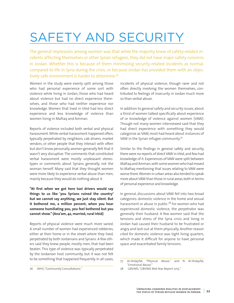## <span id="page-23-0"></span>SAFETY AND SECURITY

The general impression among women was that while the majority knew of safety-related incidents affecting themselves or other Syrian refugees, they did not have major safety concerns in Jordan. Whether this is because of them minimizing security-related incidents as normal, compared to life in Syria during the crisis, or because Jordan has provided them with an objectively safe environment is harder to determine.<sup>78</sup>

Women in the study were evenly split among those who had personal experience of some sort with violence while living in Jordan, those who had heard about violence but had no direct experience themselves, and those who had neither experience nor knowledge. Women that lived in Irbid had less direct experience and less knowledge of violence than women living in Mafraq and Amman.

Reports of violence included both verbal and physical harassment. While verbal harassment happened often, typically perpetrated by neighbors, cab drivers, market vendors, or other people that they interact with often but don't know personally, women generally felt that it wasn't very disruptive. The comments that constituted verbal harassment were mostly unpleasant stereotypes or comments about Syrians generally, not the woman herself. Many said that they thought women were more likely to experience verbal abuse than men, mainly because they would do nothing about it.

**"At first when we got here taxi drivers would say things to us like 'you Syrians ruined the country' but we cannot say anything, we just stay silent. But it bothered me, a million percent, when you hear someone humiliating you, you feel bothered but you cannot show." (Ana'am, 42, married, rural Irbid)**

Reports of physical violence were much more varied. A small number of women had experienced robberies, either at their home or in the street where they lived, perpetrated by both Jordanians and Syrians. A few others said they knew people, mostly men, that had been beaten. This type of violence was typically perpetrated by the Jordanian host community, but it was not felt to be something that happened frequently. In all cases,

incidents of physical violence, though rarer and not often directly involving the women themselves, contributed to feelings of insecurity in Jordan much more so than verbal abuse.

In addition to general safety and security issues, about a third of women talked specifically about experience of or knowledge of violence against women (VAW). Though not many women interviewed said that they had direct experience with something they would categorize as VAW, most had heard about instances of VAW in the Syrian refugee community.77

Similar to the findings in general safety and security, there were no reports of direct VAW in Irbid, and few had knowledge of it. Experiences of VAW were split between Mafraq and Amman, with some women who had moved to Mafraq mentioning that issues relating to VAW were worse there. Women in urban areas also tended to speak more about VAW than those in rural areas, both in terms of personal experience and knowledge.

In general, discussions about VAW fell into two broad categories: domestic violence in the home and sexual harassment or abuse in public.<sup>78</sup> For women who had experienced domestic violence, the perpetrator was generally their husband. A few women said that the tensions and stress of the Syria crisis and living in Jordan had caused their husband to be frustrated or angry and lash out at them physically. Another reason cited for domestic violence was tight living quarters, which made it difficult for anyone to have personal space and exacerbated family tensions.

<sup>76</sup> WHS, "Community Consultations."

<sup>77</sup> Al-Shdayfat, "Physical Abuse," and N Al-Shdayfat, "Emotional Abuse."

<sup>78</sup> GBVIMS, "GBVIMS Mid-Year Report 2015."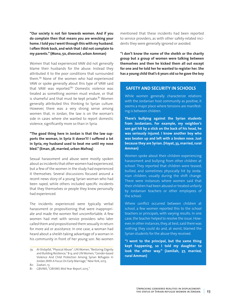**"Our society is not fair towards women. And if you do complain then that means you are wrecking your home. I told you I went through this with my husband. I often think back, and wish that I did not complain to my parents." (Mona, 50, divorced, urban Amman)**

Women that had experienced VAW did not generally blame their husbands for the abuse. Instead they attributed it to the poor conditions that surrounded them.79 None of the women who had experienced VAW or spoke generally about this type of VAW said that VAW was reported.<sup>80</sup> Domestic violence was treated as something women must endure, or that is shameful and that must be kept private.<sup>81</sup> Women generally attributed this thinking to Syrian culture. However, there was a very strong sense among women that, in Jordan, the law is on the woman's side in cases where she wanted to report domestic violence, significantly more so than in Syria.

#### **"The good thing here in Jordan is that the law supports the woman, in Syria it doesn't! I suffered a lot in Syria, my husband used to beat me until my nose bled." (Eman, 38, married, urban Mafraq)**

Sexual harassment and abuse were mostly spoken about as incidents that other women had experienced, but a few of the women in the study had experienced it themselves. Several discussions focused around a recent news story of a young Syrian woman who had been raped, while others included specific incidents that they themselves or people they knew personally had experienced.

The incidents experienced were typically verbal harassment or propositioning that were inappropriate and made the women feel uncomfortable. A few women had met with service providers who later called them and propositioned them sexually in return for more aid or assistance. In one case, a woman had heard about a sheikh taking advantage of a woman in his community in front of her young son. No women

80 Zaatari, 13.

mentioned that these incidents had been reported to service providers, as with other safety-related incidents they were generally ignored or avoided.

**"I don't know the name of the sheikh or the charity group but a group of women were talking between themselves and then he kicked them all out except for one and he told her he wanted to register her. She has a young child that's 6 years old so he gave the boy** 

#### **SAFETY AND SECURITY IN SCHOOLS**

While women generally characterize relations with the Jordanian host community as positive, it seems a major place where tensions are manifesting is between children.

**There's bullying against the Syrian students from Jordanians. For example, my neighbor's son got hit by a stick on the back of his head, he was seriously injured. I know another boy who was beaten up and left with a broken nose. Just because they are Syrian. (Hayat, 33, married, rural Amman)**

Women spoke about their children experiencing harassment and bullying from other children at school. They reported that children were teased, bullied, and sometimes physically hit by Jordanian children, usually during the shift change. There were instances where women said that their children had been abused or treated unfairly by Jordanian teachers or other employees of the school.

Where conflict occurred between children at school, a few women reported this to the school teachers or principals, with varying results. In one case, the teacher helped to resolve the issue. However, in other instances, they, at best, said there was nothing they could do and, at worst, blamed the Syrian students for the abuse they received.

**"I went to the principal, but the same thing kept happening, so I told my daughter to look the other way." (Jamilah, 37, married, rural Amman)** 

<sup>79</sup> Al-Shdayfat, "Physical Abuse"; UN Women, "Restoring Dignity and Building Resilience," 8-9; and UN Women, "Gender-based Violence And Child Protection Among Syrian Refugees In Jordan, With A Focus On Early Marriage," New York, 2013.

<sup>81</sup> GBVIMS, "GBVIMS Mid-Year Report 2015."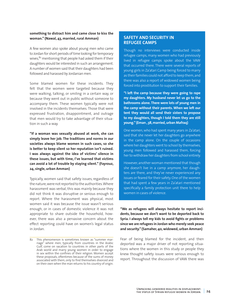#### **something to distract him and came close to kiss the woman." (Nawal, 43, married, rural Amman)**

A few women also spoke about young men who came to Jordan for short periods of time looking for temporary wives, $82$  mentioning that people had asked them if their daughters would be interested in such an arrangement. A number of women said that their daughters had been followed and harassed by Jordanian men.

Some blamed women for these incidents. They felt that the women were targeted because they were walking, talking, or smiling in a certain way, or because they went out in public without someone to accompany them. These women typically were not involved in the incidents themselves. Those that were expressed frustration, disappointment, and outrage that men would try to take advantage of their situation in such a way.

**"If a woman was sexually abused at work, she can simply leave her job. The traditions and norms in our societies always blame women in such cases, so she is better to keep silent so her reputation isn't ruined. I was always against the idea of victims' silence in these issues, but with time, I've learned that victims can avoid a lot of trouble by staying silent." (Fayrouz, 24, single, urban Amman)**

Typically, women said that safety issues, regardless of the nature, were not reported to the authorities. Where harassment was verbal, this was mainly because they did not think it was disruptive or serious enough to report. Where the harassment was physical, most women said it was because the issue wasn't serious enough, or in cases of domestic violence it was not appropriate to share outside the household, however, there was also a pervasive concern about the effect reporting could have on women's legal status in Jordan.

#### **SAFETY AND SECURITY IN REFUGEE CAMPS**

Though no interviews were conducted inside refugee camps, many women who had previously lived in refugee camps spoke about the VAW that occurred there. There were several reports of young girls in Za'atari Camp being forced to marry as their families could not afford to keep them, and there was also a report of widowed women being forced into prostitution to support their families.

**"I left the camp because they were going to rape my daughters. My husband never let us go to the bathrooms alone. There were lots of young men in the camp without their parents. When we left our tent they would all send their sisters to propose to my daughters, though I told them they are still young." (Eman , 38, married, urban Mafraq)**

One women, who had spent many years in Za'atari, said that she never let her daughters go anywhere in the camp alone. On the couple of occasions where her daughters went to school by themselves, young men followed and harassed them, forcing her to withdraw her daughters from school entirely.

However, another woman mentioned that though she doesn't live in a camp anymore, her daughters are there, and they've never experienced any issues or feared for their safety. One of the women that had spent a few years in Za'atari mentioned specifically a family protection unit there to help women in cases of violence.

**"We as refugees will always hesitate to report incidents, because we don't want to be deported back to Syria. I always tell my kids to avoid fights or problems since we are refugees in Jordan who merely seek peace and security." (Samaher, 40, widowed, urban Amman)**

Fear of being blamed for the incident, and then deported was a major driver of not reporting situations where the women in this study or people they knew thought safety issues were serious enough to report. Throughout the discussion of VAW there was

<sup>82</sup> This phenomenon is sometimes known as "summer marriage" where men, typically from countries in the Arabic Gulf, come on vacation to countries in other parts of the Arab world and marry young women in order to engage in sex within the confines of their religion. Women accept these proposals, oftentimes because of the sums of money associated with them, only to find themselves divorced and on their own when the man returns to his country of origin.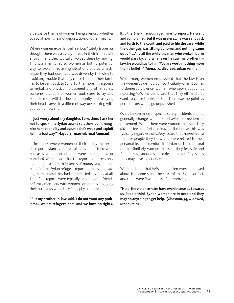a pervasive theme of women being silenced, whether by social norms, fear of deportation, or other means.

Where women experienced "serious" safety issues, or thought there was a safety threat in their immediate environment, they typically avoided these by moving. This was mentioned by women as both a potential way to avoid threatening situations and as a technique they had used, and was driven by the wish to avoid any trouble that may cause them or their families to be sent back to Syria. Furthermore, in response to verbal and physical harassment and other safety concerns, a couple of women took steps to try and blend in more with the host community, such as tying their headscarves in a different way, or speaking with a Jordanian accent.

#### **"I just worry about my daughter. Sometimes I ask her not to speak in a Syrian accent so others don't recognize her nationality and assume she's weak and exploit her in a bad way." (Hayat, 33, married, rural Amman)**

In instances where women or their family members did report instances of physical harassment, there were no cases where perpetrators were apprehended or punished. Women said that the reporting process only led to high costs, both in terms of money and time on behalf of the Syrian refugees reporting the issue, leading them to wish they had not reported anything at all. Therefore, reports were typically only made to friends or family members, with women sometimes engaging their husbands when they felt a physical threat.

**"But my brother-in-law said, 'I do not want any problems… we are refugees here, and we have no rights.'**  **But the Sheikh encouraged him to report. He went and complained, but it was useless… he was sent back and forth to the court, and paid to file the case, while the other guy was sitting at home, and nothing came out of it. And all the while the man who broke his arm would pass by, and whenever he saw my brother-inlaw, he would say to him 'You are worth nothing more than a bullet!'" (Mona, 50, divorced, urban Amman)**

While many women emphasized that the law is on the women's side in Jordan, particularly when it comes to domestic violence, women who spoke about not reporting VAW incidents said that they either didn't want to cause trouble or that there was no point as perpetrators would go unpunished.

Overall, experience of specific safety incidents did not generally change women's behavior or freedom of movement. While there were women that said they did not feel comfortable leaving the house, this was typically regardless of safety issues that happened to them or people they knew and more related to their personal level of comfort in Jordan or their cultural norms. Similarly, women that said they felt safe and free to move around said so despite any safety issues they may have experienced.

Women stated that VAW had gotten worse or stayed about the same since the start of the Syria conflict, and there were few reports of it improving.

**"Here, the violence rates have even increased towards us. People think Syrian women are in need and they may do anything to get help." (Ghosoun, 54, widowed, urban Irbid)**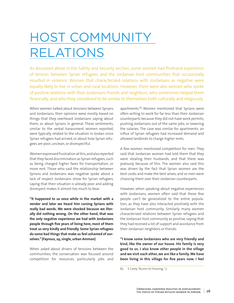## <span id="page-27-0"></span>HOST COMMUNITY RELATIONS

As discussed above in the Safety and Security section, some women had firsthand experience of tension between Syrian refugees and the Jordanian host communities that occasionally resulted in violence. Women that characterized relations with Jordanians as negative were equally likely to live in urban and rural locations. However, there were also women who spoke of positive relations with their Jordanians friends and neighbors, who sometimes helped them financially, and who they considered to be similar to themselves both culturally and religiously.

When women talked about tensions between Syrians and Jordanians, their opinions were mostly based on things that they overheard Jordanians saying about them, or about Syrians in general. These sentiments, similar to the verbal harassment women reported, were typically related to the situation in Jordan since Syrian refugees had arrived, or about how Syrian refugees are poor, unclean, or disrespectful.

Women expressed frustration at this, and also reported that they faced discrimination as Syrian refugees, such as being charged higher fares for transportation, or more rent. Those who said the relationship between Syrians and Jordanians was negative spoke about a lack of respect Jordanians show for Syrian refugees, saying that their situation is already poor and adding disrespect makes it almost too much to bear.

**"It happened to us once while in the market with a vendor and later we heard him cursing Syrians with really bad words. We were shocked because we literally did nothing wrong. On the other hand, that was the only negative experience we had with Jordanians people through five years of living here, most of them treat us very kindly and friendly. Some Syrian refugees do some bad things that make us feel ashamed of ourselves." (Fayrouz, 24, single, urban Amman)**

When asked about drivers of tensions between the communities, the conversation was focused around competition for resources, particularly jobs and

apartments.<sup>83</sup> Women mentioned that Syrians were often willing to work for far less than their Jordanian counterparts because they did not have work permits, pushing Jordanians out of the same jobs, or lowering the salaries. The case was similar for apartments: an influx of Syrian refugees had increased demand and allowed landlords to charge higher rents.

A few women mentioned competition for men. They said that Jordanian women had told them that they were stealing their husbands, and that there was jealously because of this. The women also said this was driven by the fact that Syrian women are the best cooks and make the best wives, and so men were choosing them over their Jordanian counterparts.

However, when speaking about negative experiences with Jordanians, women often said that these few people can't be generalized to the entire population, as they have also interacted positively with the Jordanian host community. Similarly, many women characterized relations between Syrian refugees and the Jordanian host community as positive, saying that they had received a lot of support and assistance from their Jordanian neighbors or friends.

**"I know some Jordanians who are very friendly and kind, like the owner of our house. His family is very good to us. I also know other people in the village and we visit each other, we are like a family. We have been living in this village for five years now. I feel** 

<sup>83</sup> E Carey, "Access to Housing," 7.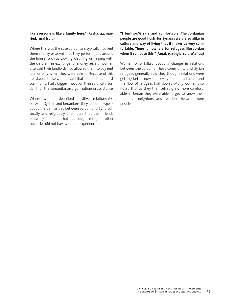#### **like everyone is like a family here." (Rasha, 42, married, rural Irbid)**

Where this was the case, Jordanians typically had lent them money or asked that they perform jobs around the house (such as cooking, cleaning, or helping with the children) in exchange for money. Several women also said their landlords had allowed them to pay rent late, or only when they were able to. Because of this assistance, these women said that the Jordanian host community had a bigger impact on their survival in Jordan than the humanitarian organizations or assistance.

Where women described positive relationships between Syrians and Jordanians, they tended to speak about the similarities between Jordan and Syria culturally and religiously, and noted that their friends or family members that had sought refuge in other countries did not have a similar experience.

**"I feel 100% safe and comfortable. The Jordanian people are good hosts for Syrians; we are so alike in culture and way of living that it makes us very comfortable. There is nowhere for refugees like Jordan when it comes to this." (Amal, 35, single, rural Mafraq)**

Women who talked about a change in relations between the Jordanian host community and Syrian refugees generally said they thought relations were getting better now that everyone had adjusted and the flow of refugees had slowed. Many women also noted that as they themselves grew more comfortable in Jordan they were able to get to know their Jordanian neighbors and relations became more positive.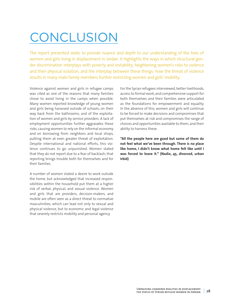## <span id="page-29-0"></span>**CONCLUSION**

The report presented seeks to provide nuance and depth to our understanding of the lives of women and girls living in displacement in Jordan. It highlights the ways in which structural gender discrimination interplays with poverty and instability, heightening women's risks to violence and their physical isolation, and the interplay between these things: how the threat of violence results in many male family members further restricting women and girls' mobility.

Violence against women and girls in refugee camps was cited as one of the reasons that many families chose to avoid living in the camps when possible. Many women reported knowledge of young women and girls being harassed outside of schools; on their way back from the bathrooms; and of the exploitation of women and girls by service providers. A lack of employment opportunities further aggravates these risks, causing women to rely on the informal economy and on borrowing from neighbors and local shops, putting them at even greater threat of exploitation. Despite international and national efforts, this violence continues to go unpunished. Women stated that they do not report due to a fear of backlash; that reporting brings trouble both for themselves and for their families.

A number of women stated a desire to work outside the home, but acknowledged that increased responsibilities within the household put them at a higher risk of verbal, physical, and sexual violence. Women and girls that are providers, decision-makers, and mobile are often seen as a direct threat to normative masculinities, which can lead not only to sexual and physical violence, but to economic and legal violence that severely restricts mobility and personal agency.

For the Syrian refugees interviewed, better livelihoods, access to formal work, and comprehensive support for both themselves and their families were articulated as the foundations for empowerment and equality. In the absence of this, women and girls will continue to be forced to make decisions and compromises that put themselves at risk and compromises the range of choices and opportunities available to them, and their ability to harness these.

**"All the people here are good but some of them do not feel what we've been through. There is no place like home, I didn't know what home felt like until I was forced to leave it." (Nadia, 45, divorced, urban Irbid)**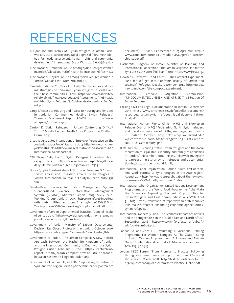### <span id="page-30-0"></span>REFERENCES

- Al-Qdah TAK and Lacroix M. "Syrian refugees in Jordan: Social workers use a participatory rapid appraisal (PRA) methodology for needs assessment, human rights and community development." International Social Work. 2016;60(3):614-627.
- Al-Shdayfat N. "Emotional Abuse Among Syrian Refugee Women In Jordan." Global Journal of Health Science. 2017;9(3): 237-247.
- Al-Shdayfat N. "Physical Abuse Among Syrian Refugee Women In Jordan." Middle East J Nurs. 2017;11(1):3-7.
- Care International. "Six Years Into Exile: The challenges and coping strategies of non-camp Syrian refugees in Jordan and their host communities." 2016. https://reliefweb.int/sites/ reliefweb.int/files/resources/2016AssessmentoftheSituatio nofUrbanSyrianRefugees%26VulnerableJordanians-FullRep ort.pdf.
- Carey E. "Access to Housing and Access to Housing and Tensions in Jordanian Communities Hosting Syrian Refugees." Thematic Assessment Report. REACH. 2014. http://www. alnap.org/resource/19496.
- Carrion D. "Syrian Refugees in Jordan: Confronting Difficult Truths." Middle East and North Africa Programme. Chatham House. 2015.
- Creative Associates International. "Employer Perspective on the Jordanian Labor Force." March 3, 2014. http://www.amcham. jo/Portal1/Upload/Block/Image/Creative%20Associates%20 International%20Report.pdf.
- CTV News. Daily life for Syrian Refugees in Jordan: photo essay. 2015. https://www.ctvnews.ca/photo-galleries/ daily-life-for-syrian-refugees-in-jordan-1.2487423.
- Doocy S, Lyles E, Akhu-Zaheya L, Burton A, Burnham G. "Health service access and utilization among Syrian refugees in Jordan." International Journal For Equity In Health. 2016;15(1): 108.
- Gender-Based Violence Information Management System. "Gender-Based Violence Information Management System (GBVIMS) Mid-Year Report 2015 SGBV Sub-Working Group Jordan." 2015. https://reliefweb.int/sites/ reliefweb.int/files/resources/BriefingNoteGBVIMSMid-YearReport2015SGBVSub-WorkingGroupJordanpdf.pdf.
- Government of Jordan Department of Statistics, "General results of census 2015," http://www.dos.gov.jo/dos\_home\_e/main/ population/census2015/index.htm.
- Government of Jordan Ministry of Labour. Departmental Decision Re: Closed Professions in Jordan. October 2016. https://data2.unhcr.org/en/documents/download/59816.
- Government of Jordan. "The Jordan Compact: A New Holistic Approach between the Hashemite Kingdom of Jordan and the International Community to Deal with the Syrian Refugee Crisis." February 8, 2016. https://reliefweb.int/ report/jordan/jordan-compact-new-holistic-approachbetween-hashemite-kingdom-jordan-and.
- Government of Jordan, EU, and UN. "Supporting the future of Syria and the Region: Jordan partnership paper (conference

document)." Brussels II Conference, 24-25 April 2018. http:// www.consilium.europa.eu/media/34144/jordan-partnership-paper.pdf.

- Hashemite Kingdom of Jordan Ministry of Planning and International Cooperation. "The Jordan Response Plan for the Syria Crisis 2017-2019, (Full Plan)." 2016. http://www.jrpsc.org/.
- Howden D, Patchett H, and Alfred C. "The Compact Experiment: Push for Refugee Jobs Confronts Reality of Jordan and Lebanon" Refugees Deeply. December 2017. http://issues. newsdeeply.com/the-compact-experiment.
- International Catholic Migration Commission, "UNDOCUMENTED, UNSEEN, AND AT RISK: The Situation Of Syrian Refugees
- Lacking Civil and Legal Documentation in Jordan." September 2017. https://www.icmc.net/sites/default/files/documents/ resources/jordan-syrian-refugees-legal-documentationfinal.pdf.
- International Human Rights Clinic (IHRC) and Norwegian Refugee Council (NRC). "Registering Rights: Syrian refugees and the documentation of births, marriages, and deaths in Jordan." October 2015. http://hrp.law.harvard.edu/ wp-content/uploads/2015/11/Registering-rights-report-NRC-IHRC-October20151.pdf.
- IHRC and NRC. "Securing Status: Syrian refugees and the documentation of legal status, identity, and family relationships in Jordan." November 2016. https://reliefweb.int/report/ jordan/securing-status-syrian-refugees-and-documentation-legal-status-identity-and-family.
- International Labor Organization. "Jordan issues first-of-theirkind work permits to Syria refugees in the Arab region." August 2017. http://www.ilo.org/global/about-the-ilo/newsroom/news/WCMS\_568722/lang--en/index.htm.
- International Labor Organization, United Nations Development Programme, and the World Food Programme. "Jobs Make the Difference: Expanding Economic Opportunities for Syrian Refugees and Host Communities." ReliefWeb. April 5, 2017. https://reliefweb.int/report/syrian-arab-republic/ jobs-make-difference-expanding-economic-opportunitiessyrian-refugees.
- International Monetary Fund. "The Economic Impact of Conflicts and the Refugee Crisis in the Middle East and North Africa." September 2016. https://www.imf.org/external/pubs/ft/ sdn/2016/sdn1608.pdf.
- Jabbar SA and Zaza HI. "Evaluating A Vocational Training Programme For Women Refugees At The Zaatari Camp In Jordan: Women Empowerment: A Journey And Not An Output." International Journal of Adolescence and Youth. 2016;21(3):304-319.
- Jordan INGO Forum. "From Promise to Practice: Following through on commitments to support the future of Syria and the region." March 2018. http://testsite.jordaningoforum. org/wp-content/uploads/Promise-to-Practice\_Online.pdf.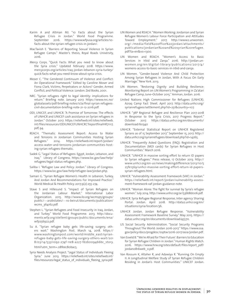- Karim A and Altman MJ. "10 Facts about the Syrian Refugee Crisis in Jordan." World Food Programme. September 2016. https://www.wfpusa.org/articles/10 facts-about-the-syrian-refugee-crisis-in-jordan/.
- MacTavish E. "Barriers of Reporting Sexual Violence in Syrian Refugee Camps." Master's thesis, Royal Roads University, 2016.
- Mercy Corps. "Quick Facts: What you need to know about the Syria crisis." Updated February 2018. https://www. mercycorps.org/articles/iraq-jordan-lebanon-syria-turkey/ quick-facts-what-you-need-know-about-syria-crisis.
- Moser C. "The Gendered Continuum of Violence and Conflict: An Operational Framework." Edited by Caroline Moser and Fiona Clark, Victims, Perpetrators or Actors? Gender, Armed Conflict, and Political Violence. London: Zed Books, 2001.
- NRC. "Syrian refugees right to legal identity: implications for return." Briefing note. January 2017. https://www.nrc.no/ globalassets/pdf/briefing-notes/icla/final-syrian-refugeescivil-documentation-briefing-note-21-12-2016.pdf.
- ODI, UNICEF, and UNHCR. "A Promise of Tomorrow: The effects of UNHCR and UNICEF cash assistance on Syrian refugees in Jordan." October 2017. https://reliefweb.int/sites/reliefweb. int/files/resources/ODIUNICEFUNHCRCTreportfinalHR71117. pdf, 94.
- REACH. "Thematic Assessment Report: Access to Water and Tensions in Jordanian Communities Hosting Syrian Refugees." 2014. https://reliefweb.int/report/jordan/ access-water-and-tensions-jordanian-communities-hosting-syrian-refugees-thematic.
- Sadek G. "Legal Status of Refugees: Egypt, Jordan, Lebanon, and Iraq." Library of Congress. https://www.loc.gov/law/help/ refugees/legal-status-refugees.php.
- Saliba I. "Refugee Law and Policy: Jordan." Library of Congress. https://www.loc.gov/law/help/refugee-law/jordan.php.
- Samari G. "Syrian Refugee Women's Health In Lebanon, Turkey, And Jordan And Recommendations For Improved Practice." World Medical & Health Policy. 2017;9(2):255-274.
- Stave S and Hillesund S. "Impact of Syrian Refugees on the Jordanian Labour Market." International Labor Organization. 2015. http://www.ilo.org/wcmsp5/groups/ public/---arabstates/---ro-beirut/documents/publication/ wcms\_364162.pdf.
- Stephen L. "Syrian Refugees and Food Insecurity in Iraq, Jordan, and Turkey." World Food Programme. 2013. http://documents.wfp.org/stellent/groups/public/documents/ena/ wfp256922.pdf.
- Su A. "Syrian refugee baby gets life-saving surgery, others wait." Washington Post. March 14, 2018. https:// www.washingtonpost.com/world/middle\_east/syrianrefugee-baby-gets-life-saving-surgery-others-wait/201 8/03/14/53311092-274f-11e8-a227-fd2b009466bc\_story. html?utm\_term=.08feec80bac5.
- Syria Needs Analysis Project. "Legal Status of Individuals Fleeing Syria." June 2013. https://reliefweb.int/sites/reliefweb.int/ files/resources/legal\_status\_of\_individuals\_fleeing\_syria.pdf.
- UN Women and REACH. "Women Working: Jordanian and Syrian Refugee Women's Labour Force Participation and Attitudes Toward Employment." 2017. http://www2.unwomen. org/-/media/field%20office%20jordan/attachments/ publications/jordanian%20and%20syrian%20refugee. pdf?la=en&vs=1300.
- UN Women and REACH. "Women's Access to Basic Services in Irbid and Zarqa." 2016. http://jordan.unwomen.org/en/digital-library/publications/2017/4 / womens-access-to-basic-services-in-irbid-and-zarqa.
- UN Women. "Gender-based Violence And Child Protection Among Syrian Refugees In Jordan, With A Focus On Early Marriage." New York. 2013.
- UN Women. "Restoring Dignity and Building Resilience: Monitoring Report on UN Women's Programming in Za'atari Refugee Camp, June–October 2015." Amman, Jordan. 2016.
- United Nations High Commissioner for Refugees (UNHCR). Azraq Camp Fact Sheet. April 2017. http://data.unhcr.org/ syrianrefugees/settlement.php?id=251&country=107.
- UNHCR. "3RP Regional Refugee and Resilience Plan 2017-2018 In Response to the Syria Crisis, 2017 Progress Report." October 2017. https://data2.unhcr.org/en/documents/ download/60340
- UNHCR. "External Statistical Report on UNHCR Registered Syrians as of 15 September 2017." September 15, 2017. http:// data.unhcr.org/syrianrefugees/download.php?id=14265.
- UNHCR. "Frequently Asked Questions (FAQ): Registration and Documentation (MOI cards) for Syrian Refugees in Host Communities." March 2016.
- UNHCR. "UNHCR in massive sorting effort to return ID papers to Syrian refugees." Press release, 17 October 2013. http:// www.unhcr.org/en-us/news/makingdifference/2013/10/5 25fe1569/unhcr-massive-sorting-effort-return-id-paperssyrian-refugees.html.
- UNHCR. "Vulnerability Assessment Framework (VAF) in Jordan." https://reliefweb.int/report/jordan/vulnerability-assessment-framework-vaf-jordan-guidance-note.
- UNHCR. "Woman Alone: The fight for survival by Syria's refugee women." July 2014. http://www.unhcr.org/ar/53bb8d006.pdf.
- UNHCR. Syria Refugee Regional Response, Inter-agency Sharing Portal: Jordan. April 2018. http://data2.unhcr.org/en/ situations/syria/location/36.
- UNHCR Jordan. Jordan Refugee Response. "Vulnerability Assessment Framework Baseline Survey." May 2015. https:// data2.unhcr.org/en/documents/download/45570.
- US Social Security Administration. "Social Security Programs Throughout The World: Jordan 2016-2017." https://www.ssa. gov/policy/docs/progdesc/ssptw/2016-2017/asia/jordan.pdf.
- Van Esveld B. "'We're Afraid for Their Future': Barriers to Education for Syrian Refugee Children in Jordan." Human Rights Watch. 2016. https://www.hrw.org/sites/default/files/report\_pdf/ jordan0816web\_0.pdf.
- Van Rossum K, Altaher R, and Adawiya R. "Running On Empty II: A Longitudinal Welfare Study of Syrian Refugee Children Residing in Jordan's Host Communities." UNICEF Jordan.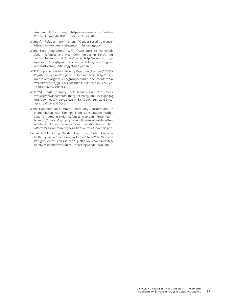Amman, Jordan, 2017. https://www.unicef.org/jordan/ RunninOnEmptyII-UNICEFJordanSept2017.pdf.

- Women's Refugee Commission. "Gender-Based Violence." https://www.womensrefugeecommission.org/gbv.
- World Food Programme (WFP). "Assistance to Vulnerable Syrian Refugees and Host Communities in Egypt, Iraq, Jordan, Lebanon and Turkey." 2016. http://www1.wfp.org/ operations/200987-assistance-vulnerable-syrian-refugeesand-host-communities-egypt-iraq-jordan.
- WFP. "Comprehensive Food Security Monitoring Exercise (CFSME): Registered Syrian Refugees in Jordan." 2016. [http://docu](http://documents.wfp.org/stellent/groups/public/documents/ena/wfp291175.pdf?_ga=2.149505398.1341597863.1504976096-1750603342.1502915762)[ments.wfp.org/stellent/groups/public/documents/ena/](http://documents.wfp.org/stellent/groups/public/documents/ena/wfp291175.pdf?_ga=2.149505398.1341597863.1504976096-1750603342.1502915762) [wfp291175.pdf?\\_ga=2.149505398.1341597863.1504976096-](http://documents.wfp.org/stellent/groups/public/documents/ena/wfp291175.pdf?_ga=2.149505398.1341597863.1504976096-1750603342.1502915762) [1750603342.1502915762](http://documents.wfp.org/stellent/groups/public/documents/ena/wfp291175.pdf?_ga=2.149505398.1341597863.1504976096-1750603342.1502915762).
- WFP. "WFP Jordan Country Brief." January 2018. https://docs. wfp.org/api/documents/788b342281fc434d8688c9148d465 9e4/download/?\_ga=2.234167518.1758295949.1522766952- 1952215060.1522766952.
- World Humanitarian Summit. "Community Consultations On Humanitarian Aid: Findings From Consultations Within Syria And Among Syrian Refugees In Jordan." Presented in Istanbul, Turkey: May 23-24. 2016. http://reliefweb.int/sites/ reliefweb.int/files/resources/Communication%20with%20 affected%20communities-Syria%20Country%20Report.pdf.
- Zaatari Z. "Unpacking Gender: The Humanitarian Response to the Syrian Refugee Crisis in Jordan." New York: Women's Refugee Commission. March 2014. http://reliefweb.int/sites/ reliefweb.int/files/resources/UnpackingGender-WRC.pdf.